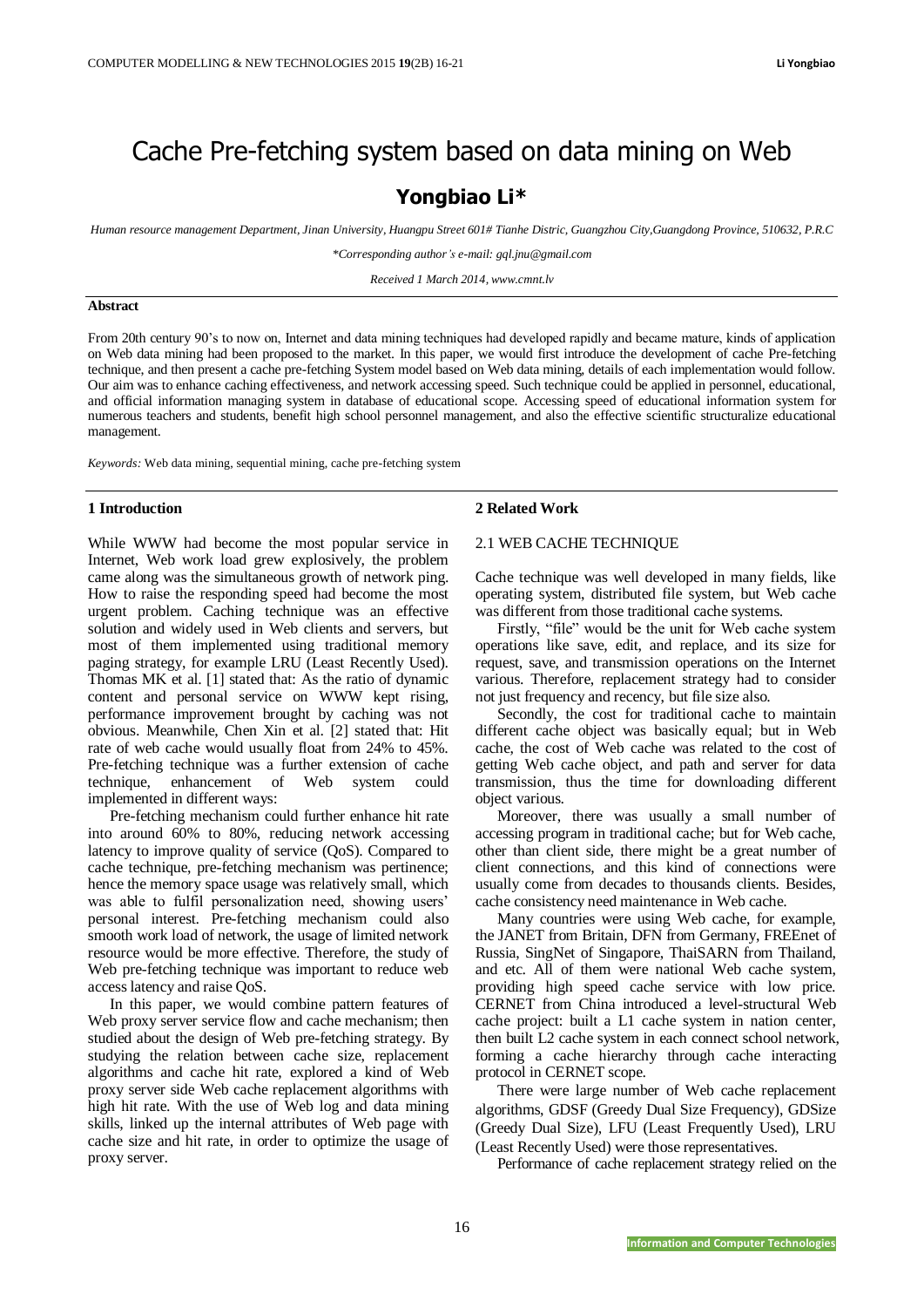# Cache Pre-fetching system based on data mining on Web

## **Yongbiao Li\***

*Human resource management Department, Jinan University, Huangpu Street 601# Tianhe Distric, Guangzhou City,Guangdong Province, 510632, P.R.C*

*\*Corresponding author's e-mail: gql.jnu@gmail.com*

*Received 1 March 2014, www.cmnt.lv*

#### **Abstract**

From 20th century 90's to now on, Internet and data mining techniques had developed rapidly and became mature, kinds of application on Web data mining had been proposed to the market. In this paper, we would first introduce the development of cache Pre-fetching technique, and then present a cache pre-fetching System model based on Web data mining, details of each implementation would follow. Our aim was to enhance caching effectiveness, and network accessing speed. Such technique could be applied in personnel, educational, and official information managing system in database of educational scope. Accessing speed of educational information system for numerous teachers and students, benefit high school personnel management, and also the effective scientific structuralize educational management.

*Keywords:* Web data mining, sequential mining, cache pre-fetching system

#### **1 Introduction**

While WWW had become the most popular service in Internet, Web work load grew explosively, the problem came along was the simultaneous growth of network ping. How to raise the responding speed had become the most urgent problem. Caching technique was an effective solution and widely used in Web clients and servers, but most of them implemented using traditional memory paging strategy, for example LRU (Least Recently Used). Thomas MK et al. [1] stated that: As the ratio of dynamic content and personal service on WWW kept rising, performance improvement brought by caching was not obvious. Meanwhile, Chen Xin et al. [2] stated that: Hit rate of web cache would usually float from 24% to 45%. Pre-fetching technique was a further extension of cache technique, enhancement of Web system could implemented in different ways:

Pre-fetching mechanism could further enhance hit rate into around 60% to 80%, reducing network accessing latency to improve quality of service (QoS). Compared to cache technique, pre-fetching mechanism was pertinence; hence the memory space usage was relatively small, which was able to fulfil personalization need, showing users' personal interest. Pre-fetching mechanism could also smooth work load of network, the usage of limited network resource would be more effective. Therefore, the study of Web pre-fetching technique was important to reduce web access latency and raise QoS.

In this paper, we would combine pattern features of Web proxy server service flow and cache mechanism; then studied about the design of Web pre-fetching strategy. By studying the relation between cache size, replacement algorithms and cache hit rate, explored a kind of Web proxy server side Web cache replacement algorithms with high hit rate. With the use of Web log and data mining skills, linked up the internal attributes of Web page with cache size and hit rate, in order to optimize the usage of proxy server.

#### **2 Related Work**

## 2.1 WEB CACHE TECHNIQUE

Cache technique was well developed in many fields, like operating system, distributed file system, but Web cache was different from those traditional cache systems.

Firstly, "file" would be the unit for Web cache system operations like save, edit, and replace, and its size for request, save, and transmission operations on the Internet various. Therefore, replacement strategy had to consider not just frequency and recency, but file size also.

Secondly, the cost for traditional cache to maintain different cache object was basically equal; but in Web cache, the cost of Web cache was related to the cost of getting Web cache object, and path and server for data transmission, thus the time for downloading different object various.

Moreover, there was usually a small number of accessing program in traditional cache; but for Web cache, other than client side, there might be a great number of client connections, and this kind of connections were usually come from decades to thousands clients. Besides, cache consistency need maintenance in Web cache.

Many countries were using Web cache, for example, the JANET from Britain, DFN from Germany, FREEnet of Russia, SingNet of Singapore, ThaiSARN from Thailand, and etc. All of them were national Web cache system, providing high speed cache service with low price. CERNET from China introduced a level-structural Web cache project: built a L1 cache system in nation center, then built L2 cache system in each connect school network, forming a cache hierarchy through cache interacting protocol in CERNET scope.

There were large number of Web cache replacement algorithms, GDSF (Greedy Dual Size Frequency), GDSize (Greedy Dual Size), LFU (Least Frequently Used), LRU (Least Recently Used) were those representatives.

Performance of cache replacement strategy relied on the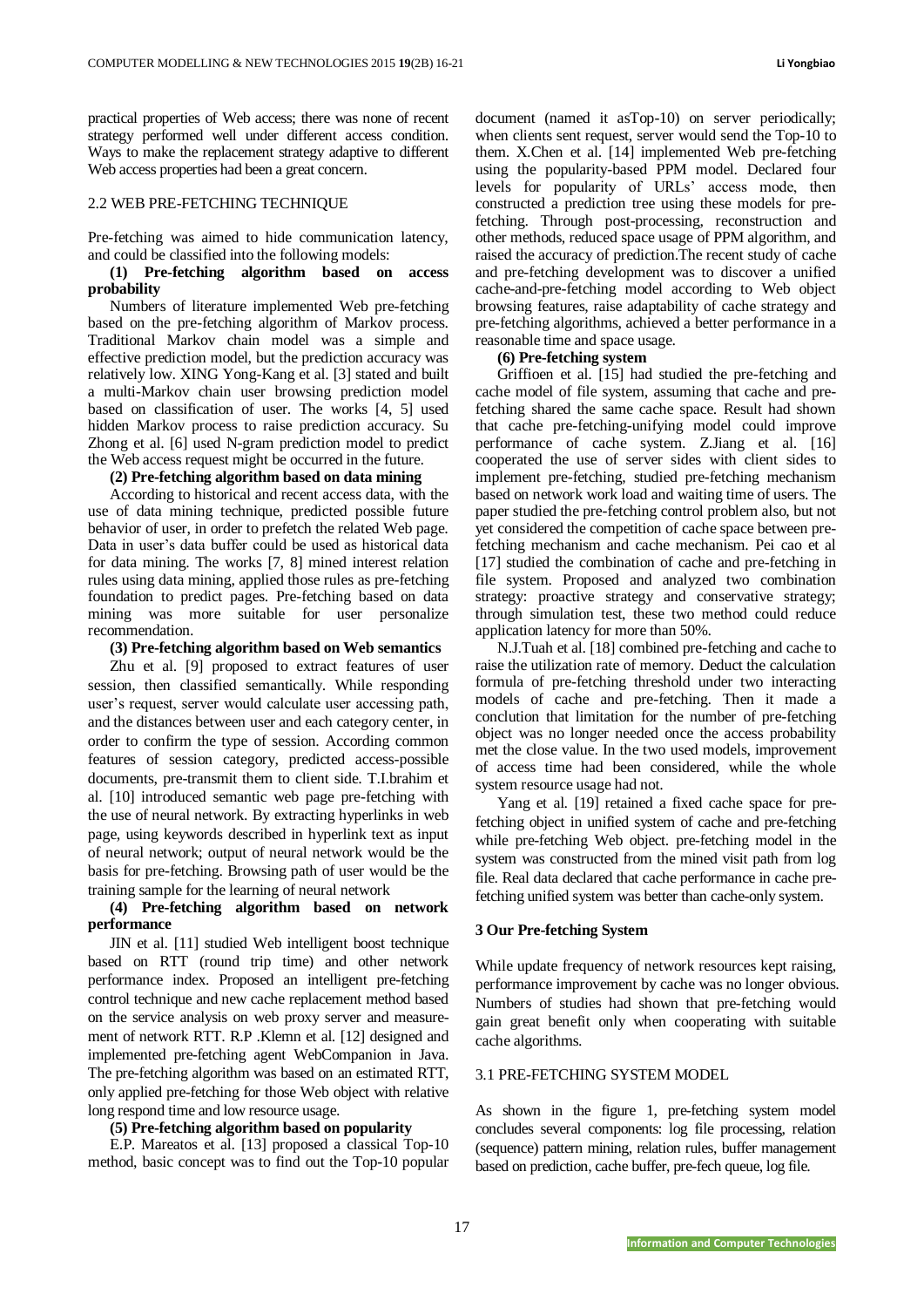practical properties of Web access; there was none of recent strategy performed well under different access condition. Ways to make the replacement strategy adaptive to different Web access properties had been a great concern.

### 2.2 WEB PRE-FETCHING TECHNIQUE

Pre-fetching was aimed to hide communication latency, and could be classified into the following models:

## **(1) Pre-fetching algorithm based on access probability**

Numbers of literature implemented Web pre-fetching based on the pre-fetching algorithm of Markov process. Traditional Markov chain model was a simple and effective prediction model, but the prediction accuracy was relatively low. XING Yong-Kang et al. [3] stated and built a multi-Markov chain user browsing prediction model based on classification of user. The works [4, 5] used hidden Markov process to raise prediction accuracy. Su Zhong et al. [6] used N-gram prediction model to predict the Web access request might be occurred in the future.

## **(2) Pre-fetching algorithm based on data mining**

According to historical and recent access data, with the use of data mining technique, predicted possible future behavior of user, in order to prefetch the related Web page. Data in user's data buffer could be used as historical data for data mining. The works [7, 8] mined interest relation rules using data mining, applied those rules as pre-fetching foundation to predict pages. Pre-fetching based on data mining was more suitable for user personalize recommendation.

### **(3) Pre-fetching algorithm based on Web semantics**

Zhu et al. [9] proposed to extract features of user session, then classified semantically. While responding user's request, server would calculate user accessing path, and the distances between user and each category center, in order to confirm the type of session. According common features of session category, predicted access-possible documents, pre-transmit them to client side. T.I.brahim et al. [10] introduced semantic web page pre-fetching with the use of neural network. By extracting hyperlinks in web page, using keywords described in hyperlink text as input of neural network; output of neural network would be the basis for pre-fetching. Browsing path of user would be the training sample for the learning of neural network

## **(4) Pre-fetching algorithm based on network performance**

JIN et al. [11] studied Web intelligent boost technique based on RTT (round trip time) and other network performance index. Proposed an intelligent pre-fetching control technique and new cache replacement method based on the service analysis on web proxy server and measurement of network RTT. R.P .Klemn et al. [12] designed and implemented pre-fetching agent WebCompanion in Java. The pre-fetching algorithm was based on an estimated RTT, only applied pre-fetching for those Web object with relative long respond time and low resource usage.

## **(5) Pre-fetching algorithm based on popularity**

E.P. Mareatos et al. [13] proposed a classical Top-10 method, basic concept was to find out the Top-10 popular document (named it asTop-10) on server periodically; when clients sent request, server would send the Top-10 to them. X.Chen et al. [14] implemented Web pre-fetching using the popularity-based PPM model. Declared four levels for popularity of URLs' access mode, then constructed a prediction tree using these models for prefetching. Through post-processing, reconstruction and other methods, reduced space usage of PPM algorithm, and raised the accuracy of prediction.The recent study of cache and pre-fetching development was to discover a unified cache-and-pre-fetching model according to Web object browsing features, raise adaptability of cache strategy and pre-fetching algorithms, achieved a better performance in a reasonable time and space usage.

#### **(6) Pre-fetching system**

Griffioen et al. [15] had studied the pre-fetching and cache model of file system, assuming that cache and prefetching shared the same cache space. Result had shown that cache pre-fetching-unifying model could improve performance of cache system. Z.Jiang et al. [16] cooperated the use of server sides with client sides to implement pre-fetching, studied pre-fetching mechanism based on network work load and waiting time of users. The paper studied the pre-fetching control problem also, but not yet considered the competition of cache space between prefetching mechanism and cache mechanism. Pei cao et al [17] studied the combination of cache and pre-fetching in file system. Proposed and analyzed two combination strategy: proactive strategy and conservative strategy; through simulation test, these two method could reduce application latency for more than 50%.

N.J.Tuah et al. [18] combined pre-fetching and cache to raise the utilization rate of memory. Deduct the calculation formula of pre-fetching threshold under two interacting models of cache and pre-fetching. Then it made a conclution that limitation for the number of pre-fetching object was no longer needed once the access probability met the close value. In the two used models, improvement of access time had been considered, while the whole system resource usage had not.

Yang et al. [19] retained a fixed cache space for prefetching object in unified system of cache and pre-fetching while pre-fetching Web object. pre-fetching model in the system was constructed from the mined visit path from log file. Real data declared that cache performance in cache prefetching unified system was better than cache-only system.

## **3 Our Pre-fetching System**

While update frequency of network resources kept raising, performance improvement by cache was no longer obvious. Numbers of studies had shown that pre-fetching would gain great benefit only when cooperating with suitable cache algorithms.

## 3.1 PRE-FETCHING SYSTEM MODEL

As shown in the figure 1, pre-fetching system model concludes several components: log file processing, relation (sequence) pattern mining, relation rules, buffer management based on prediction, cache buffer, pre-fech queue, log file.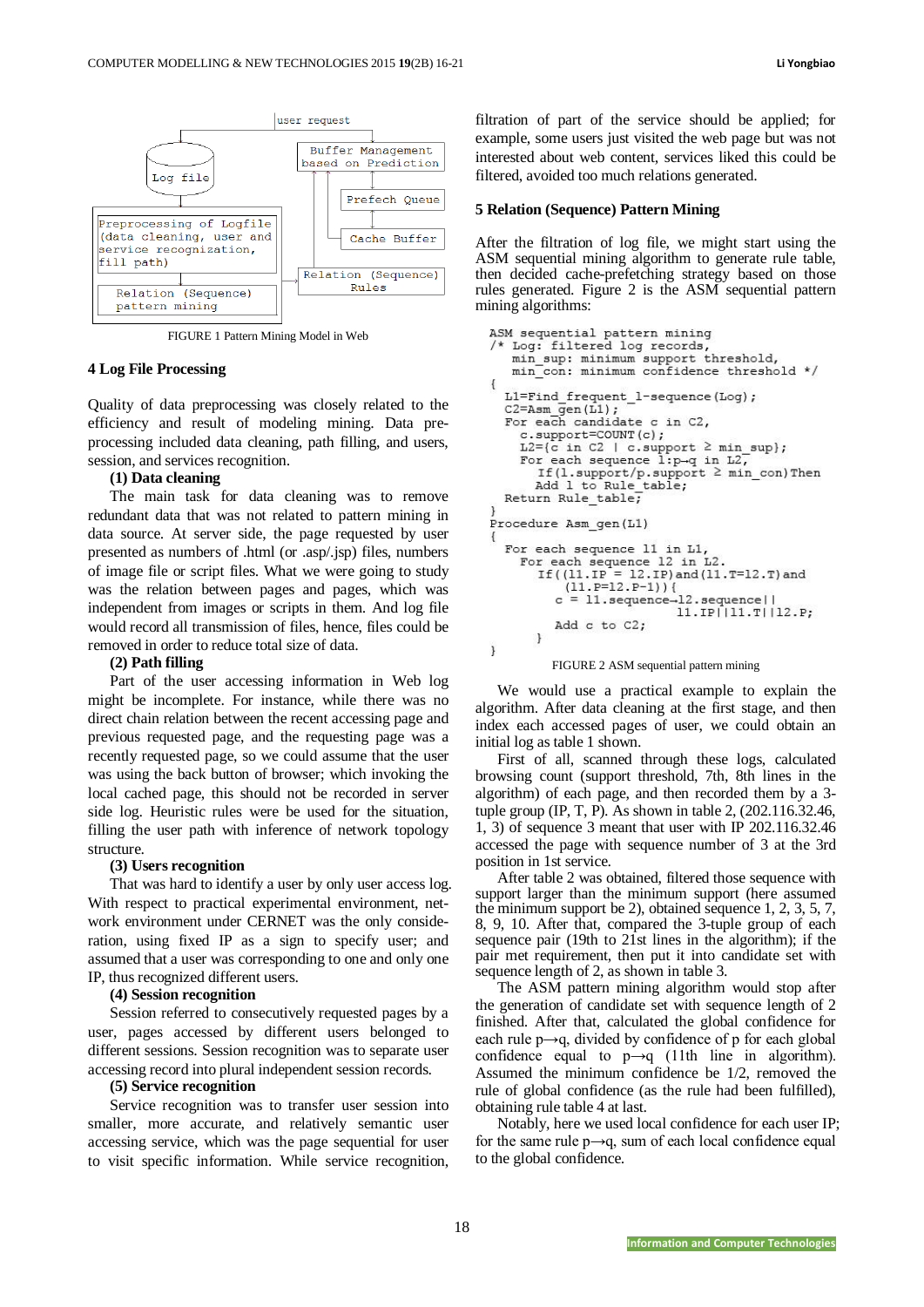

FIGURE 1 Pattern Mining Model in Web

#### **4 Log File Processing**

Quality of data preprocessing was closely related to the efficiency and result of modeling mining. Data preprocessing included data cleaning, path filling, and users, session, and services recognition.

#### **(1) Data cleaning**

The main task for data cleaning was to remove redundant data that was not related to pattern mining in data source. At server side, the page requested by user presented as numbers of .html (or .asp/.jsp) files, numbers of image file or script files. What we were going to study was the relation between pages and pages, which was independent from images or scripts in them. And log file would record all transmission of files, hence, files could be removed in order to reduce total size of data.

### **(2) Path filling**

Part of the user accessing information in Web log might be incomplete. For instance, while there was no direct chain relation between the recent accessing page and previous requested page, and the requesting page was a recently requested page, so we could assume that the user was using the back button of browser; which invoking the local cached page, this should not be recorded in server side log. Heuristic rules were be used for the situation, filling the user path with inference of network topology structure.

#### **(3) Users recognition**

That was hard to identify a user by only user access log. With respect to practical experimental environment, network environment under CERNET was the only consideration, using fixed IP as a sign to specify user; and assumed that a user was corresponding to one and only one IP, thus recognized different users.

#### **(4) Session recognition**

Session referred to consecutively requested pages by a user, pages accessed by different users belonged to different sessions. Session recognition was to separate user accessing record into plural independent session records.

#### **(5) Service recognition**

Service recognition was to transfer user session into smaller, more accurate, and relatively semantic user accessing service, which was the page sequential for user to visit specific information. While service recognition,

filtration of part of the service should be applied; for example, some users just visited the web page but was not interested about web content, services liked this could be filtered, avoided too much relations generated.

#### **5 Relation (Sequence) Pattern Mining**

After the filtration of log file, we might start using the ASM sequential mining algorithm to generate rule table, then decided cache-prefetching strategy based on those rules generated. Figure 2 is the ASM sequential pattern mining algorithms:

```
ASM sequential pattern mining<br>/* Log: filtered log records,
   min_sup: minimum support threshold,
   min con: minimum confidence threshold */
\overline{f}L1=Find frequent 1-sequence (Log);
  C2 = Asm gen(L1);
  For each candidate c in C2,
     c.support=COUNT(c);
     L2 = {c \text{ in } C2 \text{ } | \text{ } c.\text{support } \geq \text{ min\_sup}};For each sequence l:p\rightarrow q in L2,
        If(1.support/p.support ≥ min_con)Then
        Add 1 to Rule table;
  Return Rule_table;
Procedure Asm gen(L1)
  For each sequence 11 in L1,
     For each sequence 12 in L2.<br>If (f(11.F = 12.F) and (11.T=12.T) and
             (11.P=12.P-1))c = 11.sequence-12.sequence | |
                                11.IP||11.T||12.P;
           Add c to C2;
        \mathcal{E}\mathbf{1}FIGURE 2 ASM sequential pattern mining
```
We would use a practical example to explain the algorithm. After data cleaning at the first stage, and then index each accessed pages of user, we could obtain an initial log as table 1 shown.

First of all, scanned through these logs, calculated browsing count (support threshold, 7th, 8th lines in the algorithm) of each page, and then recorded them by a 3 tuple group (IP, T, P). As shown in table 2, (202.116.32.46, 1, 3) of sequence 3 meant that user with IP 202.116.32.46 accessed the page with sequence number of 3 at the 3rd position in 1st service.

After table 2 was obtained, filtered those sequence with support larger than the minimum support (here assumed the minimum support be 2), obtained sequence 1, 2, 3, 5, 7, 8, 9, 10. After that, compared the 3-tuple group of each sequence pair (19th to 21st lines in the algorithm); if the pair met requirement, then put it into candidate set with sequence length of 2, as shown in table 3.

The ASM pattern mining algorithm would stop after the generation of candidate set with sequence length of 2 finished. After that, calculated the global confidence for each rule  $p \rightarrow q$ , divided by confidence of p for each global confidence equal to  $p \rightarrow q$  (11th line in algorithm). Assumed the minimum confidence be 1/2, removed the rule of global confidence (as the rule had been fulfilled), obtaining rule table 4 at last.

Notably, here we used local confidence for each user IP; for the same rule  $p \rightarrow q$ , sum of each local confidence equal to the global confidence.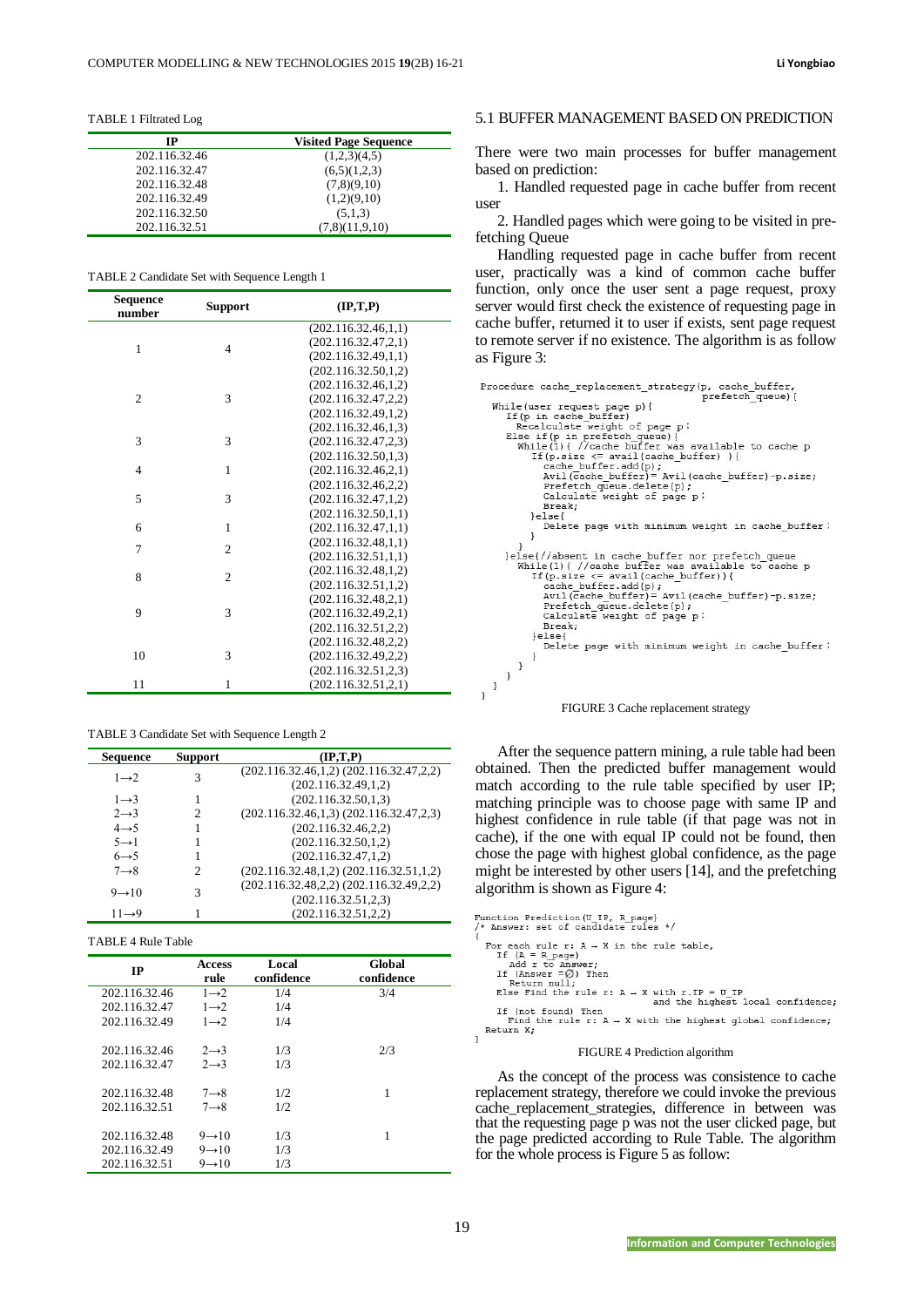TABLE 1 Filtrated Log

| IP            | <b>Visited Page Sequence</b> |
|---------------|------------------------------|
| 202.116.32.46 | (1,2,3)(4,5)                 |
| 202.116.32.47 | (6,5)(1,2,3)                 |
| 202.116.32.48 | (7,8)(9,10)                  |
| 202.116.32.49 | (1,2)(9,10)                  |
| 202.116.32.50 | (5,1,3)                      |
| 202.116.32.51 | (7,8)(11,9,10)               |

TABLE 2 Candidate Set with Sequence Length 1

| Sequence<br>number | <b>Support</b> | $(\mathbf{IP}, \mathbf{T}, \mathbf{P})$ |
|--------------------|----------------|-----------------------------------------|
|                    |                | (202.116.32.46,1,1)                     |
| 1                  | $\overline{4}$ | (202.116.32.47,2,1)                     |
|                    |                | (202.116.32.49,1,1)                     |
|                    |                | (202.116.32.50, 1, 2)                   |
|                    |                | (202.116.32.46,1,2)                     |
| $\overline{2}$     | 3              | (202.116.32.47, 2, 2)                   |
|                    |                | (202.116.32.49,1,2)                     |
|                    |                | (202.116.32.46,1,3)                     |
| 3                  | 3              | (202.116.32.47, 2, 3)                   |
|                    |                | (202.116.32.50, 1.3)                    |
| $\overline{4}$     | 1              | (202.116.32.46.2,1)                     |
|                    |                | (202.116.32.46, 2, 2)                   |
| 5                  | 3              | (202.116.32.47,1,2)                     |
|                    |                | (202.116.32.50,1,1)                     |
| 6                  | $\mathbf{1}$   | (202.116.32.47,1,1)                     |
| 7                  | $\overline{2}$ | (202.116.32.48,1,1)                     |
|                    |                | (202.116.32.51,1,1)                     |
| 8                  | $\overline{2}$ | (202.116.32.48,1,2)                     |
|                    |                | (202.116.32.51,1,2)                     |
|                    |                | (202.116.32.48.2,1)                     |
| 9                  | 3              | (202.116.32.49,2,1)                     |
|                    |                | (202.116.32.51, 2, 2)                   |
|                    |                | (202.116.32.48, 2.2)                    |
| 10                 | 3              | (202.116.32.49, 2, 2)                   |
|                    |                | (202.116.32.51, 2, 3)                   |
| 11                 | 1              | (202.116.32.51,2,1)                     |

TABLE 3 Candidate Set with Sequence Length 2

| Sequence                | <b>Support</b> | $(\mathbf{IP}, \mathbf{T}, \mathbf{P})$         |  |  |
|-------------------------|----------------|-------------------------------------------------|--|--|
| $1\rightarrow 2$        | 3              | $(202.116.32.46,1,2)$ $(202.116.32.47,2,2)$     |  |  |
|                         |                | (202.116.32.49,1,2)                             |  |  |
| $1 \rightarrow 3$       |                | (202.116.32.50, 1, 3)                           |  |  |
| $2 \rightarrow 3$       | 2              | $(202.116.32.46, 1, 3)$ $(202.116.32.47, 2, 3)$ |  |  |
| $4 \rightarrow 5$       |                | (202.116.32.46.2.2)                             |  |  |
| $5 \rightarrow 1$       |                | (202.116.32.50, 1.2)                            |  |  |
| $6 \rightarrow 5$       |                | (202.116.32.47,1,2)                             |  |  |
| $7 \rightarrow 8$       | 2              | $(202.116.32.48.1.2) (202.116.32.51.1.2)$       |  |  |
| 3<br>$9 \rightarrow 10$ |                | $(202.116.32.48, 2, 2)$ $(202.116.32.49, 2, 2)$ |  |  |
|                         |                | (202.116.32.51.2.3)                             |  |  |
| $11 \rightarrow 9$      |                | (202.116.32.51, 2, 2)                           |  |  |

#### TABLE 4 Rule Table

| $_{\rm IP}$   | <b>Access</b><br>rule | Local<br>confidence | Global<br>confidence |
|---------------|-----------------------|---------------------|----------------------|
| 202.116.32.46 | $1 \rightarrow 2$     | 1/4                 | 3/4                  |
| 202.116.32.47 | $1\rightarrow 2$      | 1/4                 |                      |
| 202.116.32.49 | $1 \rightarrow 2$     | 1/4                 |                      |
|               |                       |                     |                      |
| 202.116.32.46 | $2 \rightarrow 3$     | 1/3                 | 2/3                  |
| 202.116.32.47 | $2 \rightarrow 3$     | 1/3                 |                      |
|               |                       |                     |                      |
| 202.116.32.48 | $7 \rightarrow 8$     | 1/2                 | 1                    |
| 202.116.32.51 | $7 \rightarrow 8$     | 1/2.                |                      |
|               |                       |                     |                      |
| 202.116.32.48 | $9 \rightarrow 10$    | 1/3                 | 1                    |
| 202.116.32.49 | $9 \rightarrow 10$    | 1/3                 |                      |
| 202.116.32.51 | $9 \rightarrow 10$    | 1/3                 |                      |

#### 5.1 BUFFER MANAGEMENT BASED ON PREDICTION

There were two main processes for buffer management based on prediction:

1. Handled requested page in cache buffer from recent user

2. Handled pages which were going to be visited in prefetching Queue

Handling requested page in cache buffer from recent user, practically was a kind of common cache buffer function, only once the user sent a page request, proxy server would first check the existence of requesting page in cache buffer, returned it to user if exists, sent page request to remote server if no existence. The algorithm is as follow as Figure 3:

| Procedure cache replacement strategy(p, cache buffer, |
|-------------------------------------------------------|
| prefetch queue) {                                     |
| While (user request page p) {                         |
| If (p in cache buffer)                                |
| Recalculate weight of page p;                         |
| Else if (p in prefetch queue) {                       |
|                                                       |
| While(1){ //cache buffer was available to cache p     |
| If $(p.size \le x = x = x)$ (cache buffer) ) {        |
| cache buffer.add(p);                                  |
| Avil (cache buffer) = Avil (cache buffer) -p.size;    |
| Prefetch queue.delete(p);                             |
| Calculate weight of page p;                           |
| Break;                                                |
| lelse <sub>1</sub>                                    |
|                                                       |
| Delete page with minimum weight in cache buffer;      |
|                                                       |
|                                                       |
| }else{//absent in cache buffer nor prefetch queue     |
| While(1){ //cache buffer was available to cache p     |
| If $(p.size \le x = x = x)$ (cache buffer) ) {        |
| $cache$ buffer.add $(p)$ ;                            |
| Avil(cache buffer)= Avil(cache buffer)-p.size;        |
| Prefetch queue.delete(p);                             |
|                                                       |
| Calculate weight of page p;                           |
| Break:                                                |
| lelse                                                 |
| Delete page with minimum weight in cache buffer;      |
|                                                       |
|                                                       |
|                                                       |
| $\begin{smallmatrix}&1\\1&&1\end{smallmatrix}$        |
| -1                                                    |
|                                                       |



After the sequence pattern mining, a rule table had been obtained. Then the predicted buffer management would match according to the rule table specified by user IP; matching principle was to choose page with same IP and highest confidence in rule table (if that page was not in cache), if the one with equal IP could not be found, then chose the page with highest global confidence, as the page might be interested by other users [14], and the prefetching algorithm is shown as Figure 4:

| Function Prediction (U IP, R page)                                     |
|------------------------------------------------------------------------|
| * Answer: set of candidate rules */                                    |
|                                                                        |
| For each rule $r: A \rightarrow X$ in the rule table,                  |
| If $(A = R \text{ page})$                                              |
| Add r to Answer:                                                       |
| If (Answer $=$ Ø) Then                                                 |
| Return null;                                                           |
| Else Find the rule r: $A \rightarrow X$ with r. IP = U IP              |
| and the highest local confidence;                                      |
| If (not found) Then                                                    |
| Find the rule $r: A \rightarrow X$ with the highest global confidence; |
| Return X;                                                              |
|                                                                        |

#### FIGURE 4 Prediction algorithm

As the concept of the process was consistence to cache replacement strategy, therefore we could invoke the previous cache\_replacement\_strategies, difference in between was that the requesting page p was not the user clicked page, but the page predicted according to Rule Table. The algorithm for the whole process is Figure 5 as follow: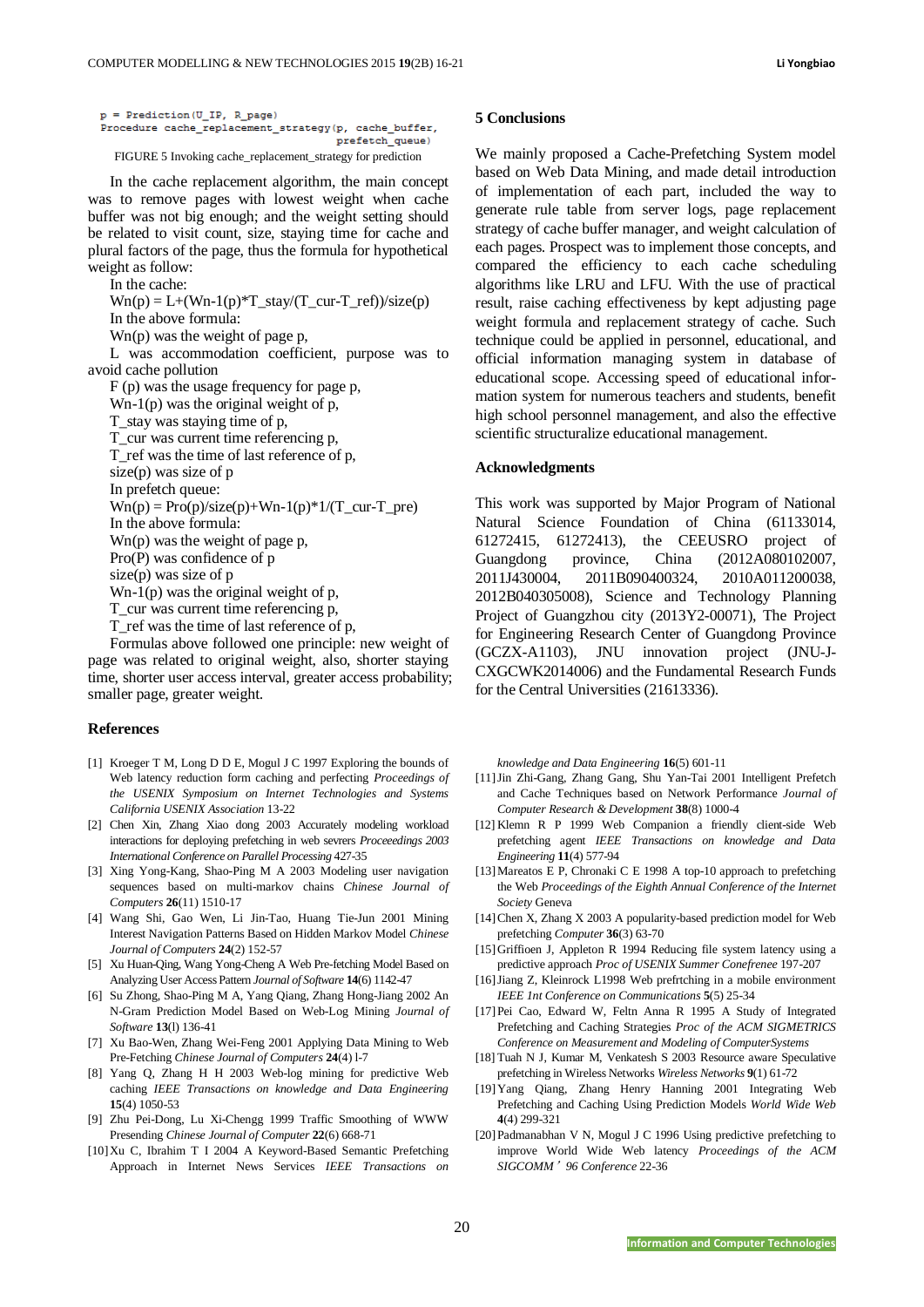| p = Prediction(U IP, R page) |                                                             |                 |
|------------------------------|-------------------------------------------------------------|-----------------|
|                              | Procedure cache replacement strategy(p, cache buffer,       |                 |
|                              |                                                             | prefetch queue) |
|                              | FIGURE 5 Invoking cache_replacement_strategy for prediction |                 |

In the cache replacement algorithm, the main concept was to remove pages with lowest weight when cache buffer was not big enough; and the weight setting should be related to visit count, size, staying time for cache and plural factors of the page, thus the formula for hypothetical weight as follow:

In the cache:

 $Wn(p) = L+(Wn-1(p)*T_stay/(T_ccur-T_ref))/size(p)$ In the above formula:

Wn(p) was the weight of page p,

L was accommodation coefficient, purpose was to avoid cache pollution

F (p) was the usage frequency for page p,

Wn-1(p) was the original weight of p,

T\_stay was staying time of p,

T\_cur was current time referencing p,

T\_ref was the time of last reference of p,

size(p) was size of p

In prefetch queue:

 $Wn(p) = Pro(p)/size(p) + Wn-1(p)*1/(T_curr-T_pre)$ 

In the above formula:

Wn(p) was the weight of page p, Pro(P) was confidence of p

size(p) was size of p

Wn-1(p) was the original weight of p,

T cur was current time referencing p,

T ref was the time of last reference of p,

Formulas above followed one principle: new weight of

page was related to original weight, also, shorter staying time, shorter user access interval, greater access probability; smaller page, greater weight.

#### **References**

- [1] Kroeger T M, Long D D E, Mogul J C 1997 Exploring the bounds of Web latency reduction form caching and perfecting *Proceedings of the USENIX Symposium on Internet Technologies and Systems California USENIX Association* 13-22
- [2] Chen Xin, Zhang Xiao dong 2003 Accurately modeling workload interactions for deploying prefetching in web sevrers *Proceeedings 2003 International Conference on Parallel Processing* 427-35
- [3] Xing Yong-Kang, Shao-Ping M A 2003 Modeling user navigation sequences based on multi-markov chains *Chinese Journal of Computers* **26**(11) 1510-17
- [4] Wang Shi, Gao Wen, Li Jin-Tao, Huang Tie-Jun 2001 Mining Interest Navigation Patterns Based on Hidden Markov Model *Chinese Journal of Computers* **24**(2) 152-57
- [5] Xu Huan-Qing, Wang Yong-Cheng A Web Pre-fetching Model Based on Analyzing User Access Pattern *Journal of Software* **14**(6) 1142-47
- [6] Su Zhong, Shao-Ping M A, Yang Qiang, Zhang Hong-Jiang 2002 An N-Gram Prediction Model Based on Web-Log Mining *Journal of Software* **13**(l) 136-41
- [7] Xu Bao-Wen, Zhang Wei-Feng 2001 Applying Data Mining to Web Pre-Fetching *Chinese Journal of Computers* **24**(4) l-7
- [8] Yang Q, Zhang H H 2003 Web-log mining for predictive Web caching *IEEE Transactions on knowledge and Data Engineering* **15**(4) 1050-53
- [9] Zhu Pei-Dong, Lu Xi-Chengg 1999 Traffic Smoothing of WWW Presending *Chinese Journal of Computer* **22**(6) 668-71
- [10]Xu C, Ibrahim T I 2004 A Keyword-Based Semantic Prefetching Approach in Internet News Services *IEEE Transactions on*

#### **5 Conclusions**

We mainly proposed a Cache-Prefetching System model based on Web Data Mining, and made detail introduction of implementation of each part, included the way to generate rule table from server logs, page replacement strategy of cache buffer manager, and weight calculation of each pages. Prospect was to implement those concepts, and compared the efficiency to each cache scheduling algorithms like LRU and LFU. With the use of practical result, raise caching effectiveness by kept adjusting page weight formula and replacement strategy of cache. Such technique could be applied in personnel, educational, and official information managing system in database of educational scope. Accessing speed of educational information system for numerous teachers and students, benefit high school personnel management, and also the effective scientific structuralize educational management.

## **Acknowledgments**

This work was supported by Major Program of National Natural Science Foundation of China (61133014, 61272415, 61272413), the CEEUSRO project of Guangdong province, China (2012A080102007, 2011J430004, 2011B090400324, 2010A011200038, 2012B040305008), Science and Technology Planning Project of Guangzhou city (2013Y2-00071), The Project for Engineering Research Center of Guangdong Province (GCZX-A1103), JNU innovation project (JNU-J-CXGCWK2014006) and the Fundamental Research Funds for the Central Universities (21613336).

*knowledge and Data Engineering* **16**(5) 601-11

- [11]Jin Zhi-Gang, Zhang Gang, Shu Yan-Tai 2001 Intelligent Prefetch and Cache Techniques based on Network Performance *Journal of Computer Research & Development* **38**(8) 1000-4
- [12] Klemn R P 1999 Web Companion a friendly client-side Web prefetching agent *IEEE Transactions on knowledge and Data Engineering* **11**(4) 577-94
- [13] Mareatos E P, Chronaki C E 1998 A top-10 approach to prefetching the Web *Proceedings of the Eighth Annual Conference of the Internet Society* Geneva
- [14]Chen X, Zhang X 2003 A popularity-based prediction model for Web prefetching *Computer* **36**(3) 63-70
- [15]Griffioen J, Appleton R 1994 Reducing file system latency using a predictive approach *Proc of USENIX Summer Conefrenee* 197-207
- [16]Jiang Z, Kleinrock L1998 Web prefrtching in a mobile environment *IEEE 1nt Conference on Communications* **5**(5) 25-34
- [17]Pei Cao, Edward W, Feltn Anna R 1995 A Study of Integrated Prefetching and Caching Strategies *Proc of the ACM SIGMETRICS Conference on Measurement and Modeling of ComputerSystems*
- [18] Tuah N J, Kumar M, Venkatesh S 2003 Resource aware Speculative prefetching in Wireless Networks *Wireless Networks* **9**(1) 61-72
- [19]Yang Qiang, Zhang Henry Hanning 2001 Integrating Web Prefetching and Caching Using Prediction Models *World Wide Web* **4**(4) 299-321
- [20]Padmanabhan V N, Mogul J C 1996 Using predictive prefetching to improve World Wide Web latency *Proceedings of the ACM SIGCOMM*'*96 Conference* 22-36